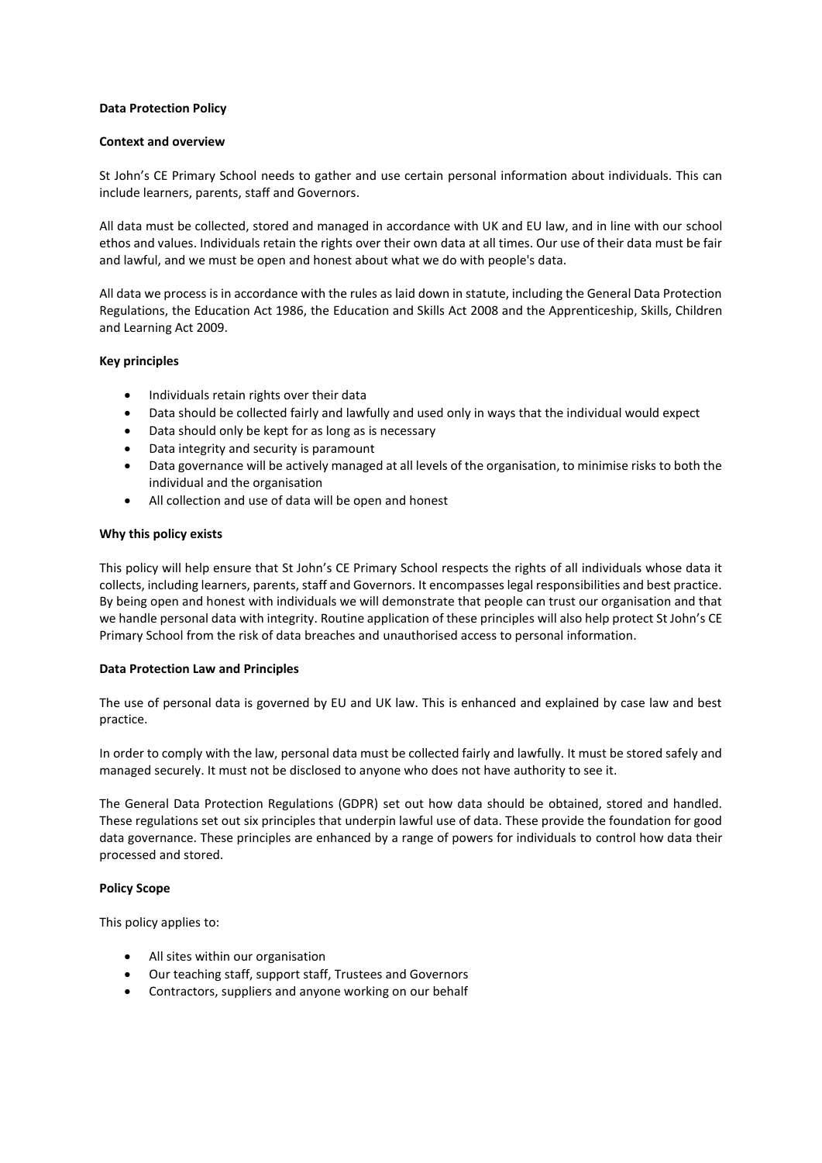## **Data Protection Policy**

#### **Context and overview**

St John's CE Primary School needs to gather and use certain personal information about individuals. This can include learners, parents, staff and Governors.

All data must be collected, stored and managed in accordance with UK and EU law, and in line with our school ethos and values. Individuals retain the rights over their own data at all times. Our use of their data must be fair and lawful, and we must be open and honest about what we do with people's data.

All data we process is in accordance with the rules as laid down in statute, including the General Data Protection Regulations, the Education Act 1986, the Education and Skills Act 2008 and the Apprenticeship, Skills, Children and Learning Act 2009.

## **Key principles**

- Individuals retain rights over their data
- Data should be collected fairly and lawfully and used only in ways that the individual would expect
- Data should only be kept for as long as is necessary
- Data integrity and security is paramount
- Data governance will be actively managed at all levels of the organisation, to minimise risks to both the individual and the organisation
- All collection and use of data will be open and honest

## **Why this policy exists**

This policy will help ensure that St John's CE Primary School respects the rights of all individuals whose data it collects, including learners, parents, staff and Governors. It encompasses legal responsibilities and best practice. By being open and honest with individuals we will demonstrate that people can trust our organisation and that we handle personal data with integrity. Routine application of these principles will also help protect St John's CE Primary School from the risk of data breaches and unauthorised access to personal information.

# **Data Protection Law and Principles**

The use of personal data is governed by EU and UK law. This is enhanced and explained by case law and best practice.

In order to comply with the law, personal data must be collected fairly and lawfully. It must be stored safely and managed securely. It must not be disclosed to anyone who does not have authority to see it.

The General Data Protection Regulations (GDPR) set out how data should be obtained, stored and handled. These regulations set out six principles that underpin lawful use of data. These provide the foundation for good data governance. These principles are enhanced by a range of powers for individuals to control how data their processed and stored.

# **Policy Scope**

This policy applies to:

- All sites within our organisation
- Our teaching staff, support staff, Trustees and Governors
- Contractors, suppliers and anyone working on our behalf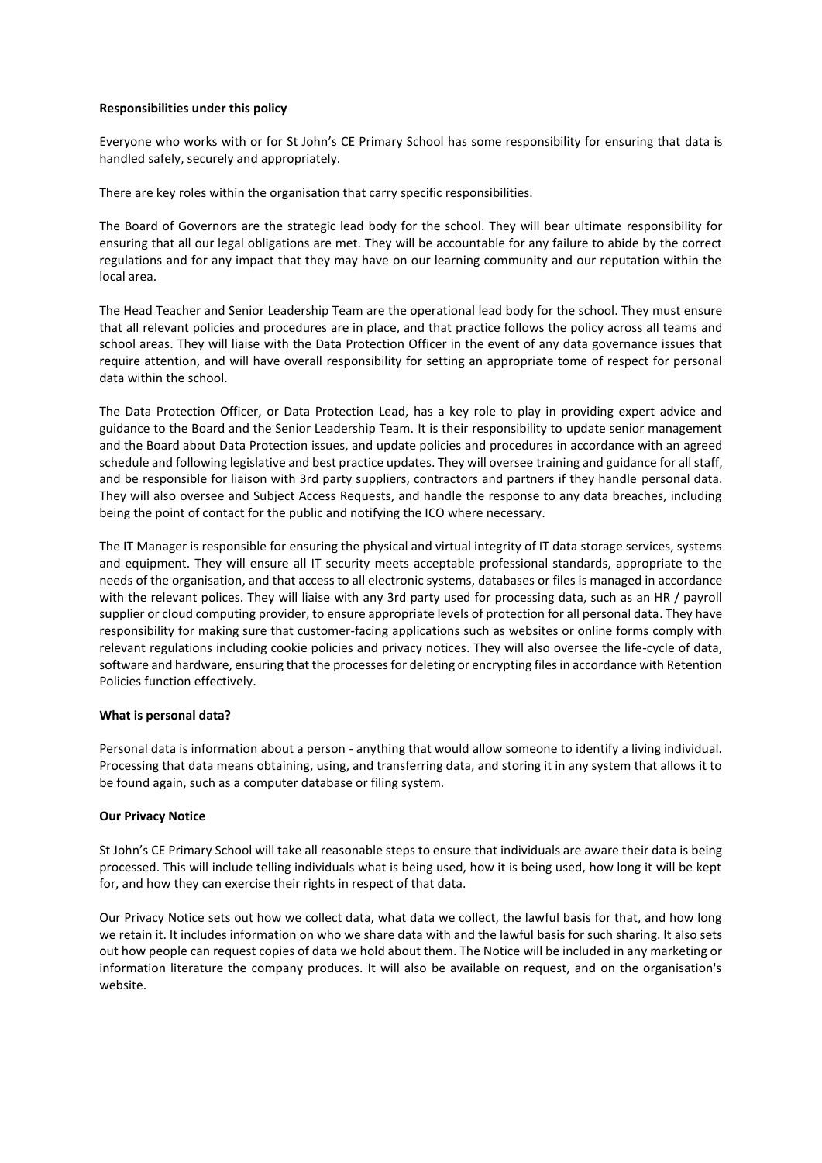## **Responsibilities under this policy**

Everyone who works with or for St John's CE Primary School has some responsibility for ensuring that data is handled safely, securely and appropriately.

There are key roles within the organisation that carry specific responsibilities.

The Board of Governors are the strategic lead body for the school. They will bear ultimate responsibility for ensuring that all our legal obligations are met. They will be accountable for any failure to abide by the correct regulations and for any impact that they may have on our learning community and our reputation within the local area.

The Head Teacher and Senior Leadership Team are the operational lead body for the school. They must ensure that all relevant policies and procedures are in place, and that practice follows the policy across all teams and school areas. They will liaise with the Data Protection Officer in the event of any data governance issues that require attention, and will have overall responsibility for setting an appropriate tome of respect for personal data within the school.

The Data Protection Officer, or Data Protection Lead, has a key role to play in providing expert advice and guidance to the Board and the Senior Leadership Team. It is their responsibility to update senior management and the Board about Data Protection issues, and update policies and procedures in accordance with an agreed schedule and following legislative and best practice updates. They will oversee training and guidance for all staff, and be responsible for liaison with 3rd party suppliers, contractors and partners if they handle personal data. They will also oversee and Subject Access Requests, and handle the response to any data breaches, including being the point of contact for the public and notifying the ICO where necessary.

The IT Manager is responsible for ensuring the physical and virtual integrity of IT data storage services, systems and equipment. They will ensure all IT security meets acceptable professional standards, appropriate to the needs of the organisation, and that access to all electronic systems, databases or files is managed in accordance with the relevant polices. They will liaise with any 3rd party used for processing data, such as an HR / payroll supplier or cloud computing provider, to ensure appropriate levels of protection for all personal data. They have responsibility for making sure that customer-facing applications such as websites or online forms comply with relevant regulations including cookie policies and privacy notices. They will also oversee the life-cycle of data, software and hardware, ensuring that the processes for deleting or encrypting files in accordance with Retention Policies function effectively.

#### **What is personal data?**

Personal data is information about a person - anything that would allow someone to identify a living individual. Processing that data means obtaining, using, and transferring data, and storing it in any system that allows it to be found again, such as a computer database or filing system.

#### **Our Privacy Notice**

St John's CE Primary School will take all reasonable steps to ensure that individuals are aware their data is being processed. This will include telling individuals what is being used, how it is being used, how long it will be kept for, and how they can exercise their rights in respect of that data.

Our Privacy Notice sets out how we collect data, what data we collect, the lawful basis for that, and how long we retain it. It includes information on who we share data with and the lawful basis for such sharing. It also sets out how people can request copies of data we hold about them. The Notice will be included in any marketing or information literature the company produces. It will also be available on request, and on the organisation's website.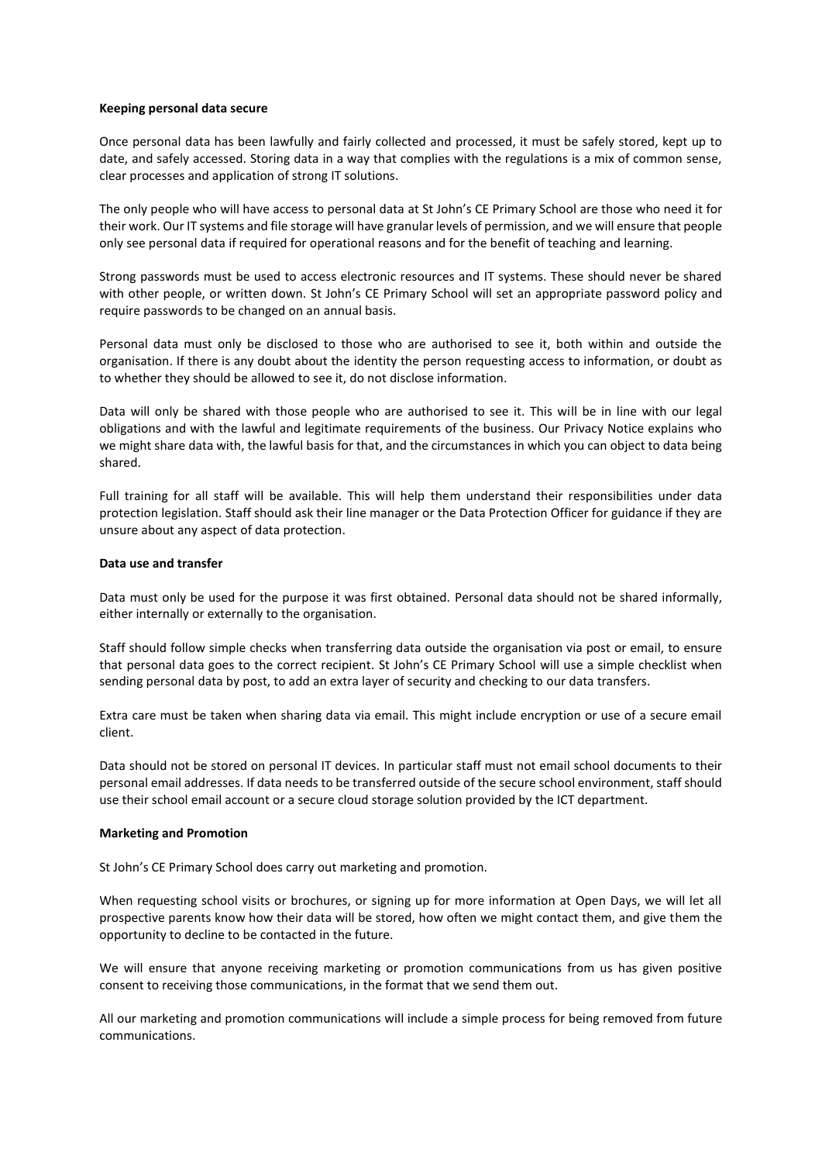# **Keeping personal data secure**

Once personal data has been lawfully and fairly collected and processed, it must be safely stored, kept up to date, and safely accessed. Storing data in a way that complies with the regulations is a mix of common sense, clear processes and application of strong IT solutions.

The only people who will have access to personal data at St John's CE Primary School are those who need it for their work. Our IT systems and file storage will have granular levels of permission, and we will ensure that people only see personal data if required for operational reasons and for the benefit of teaching and learning.

Strong passwords must be used to access electronic resources and IT systems. These should never be shared with other people, or written down. St John's CE Primary School will set an appropriate password policy and require passwords to be changed on an annual basis.

Personal data must only be disclosed to those who are authorised to see it, both within and outside the organisation. If there is any doubt about the identity the person requesting access to information, or doubt as to whether they should be allowed to see it, do not disclose information.

Data will only be shared with those people who are authorised to see it. This will be in line with our legal obligations and with the lawful and legitimate requirements of the business. Our Privacy Notice explains who we might share data with, the lawful basis for that, and the circumstances in which you can object to data being shared.

Full training for all staff will be available. This will help them understand their responsibilities under data protection legislation. Staff should ask their line manager or the Data Protection Officer for guidance if they are unsure about any aspect of data protection.

## **Data use and transfer**

Data must only be used for the purpose it was first obtained. Personal data should not be shared informally, either internally or externally to the organisation.

Staff should follow simple checks when transferring data outside the organisation via post or email, to ensure that personal data goes to the correct recipient. St John's CE Primary School will use a simple checklist when sending personal data by post, to add an extra layer of security and checking to our data transfers.

Extra care must be taken when sharing data via email. This might include encryption or use of a secure email client.

Data should not be stored on personal IT devices. In particular staff must not email school documents to their personal email addresses. If data needs to be transferred outside of the secure school environment, staff should use their school email account or a secure cloud storage solution provided by the ICT department.

#### **Marketing and Promotion**

St John's CE Primary School does carry out marketing and promotion.

When requesting school visits or brochures, or signing up for more information at Open Days, we will let all prospective parents know how their data will be stored, how often we might contact them, and give them the opportunity to decline to be contacted in the future.

We will ensure that anyone receiving marketing or promotion communications from us has given positive consent to receiving those communications, in the format that we send them out.

All our marketing and promotion communications will include a simple process for being removed from future communications.